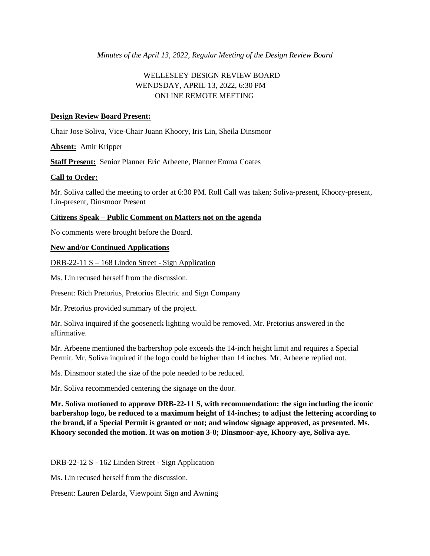*Minutes of the April 13, 2022, Regular Meeting of the Design Review Board*

# WELLESLEY DESIGN REVIEW BOARD WENDSDAY, APRIL 13, 2022, 6:30 PM ONLINE REMOTE MEETING

# **Design Review Board Present:**

Chair Jose Soliva, Vice-Chair Juann Khoory, Iris Lin, Sheila Dinsmoor

**Absent:** Amir Kripper

**Staff Present:** Senior Planner Eric Arbeene, Planner Emma Coates

### **Call to Order:**

Mr. Soliva called the meeting to order at 6:30 PM. Roll Call was taken; Soliva-present, Khoory-present, Lin-present, Dinsmoor Present

### **Citizens Speak – Public Comment on Matters not on the agenda**

No comments were brought before the Board.

### **New and/or Continued Applications**

DRB-22-11 S – 168 Linden Street - Sign Application

Ms. Lin recused herself from the discussion.

Present: Rich Pretorius, Pretorius Electric and Sign Company

Mr. Pretorius provided summary of the project.

Mr. Soliva inquired if the gooseneck lighting would be removed. Mr. Pretorius answered in the affirmative.

Mr. Arbeene mentioned the barbershop pole exceeds the 14-inch height limit and requires a Special Permit. Mr. Soliva inquired if the logo could be higher than 14 inches. Mr. Arbeene replied not.

Ms. Dinsmoor stated the size of the pole needed to be reduced.

Mr. Soliva recommended centering the signage on the door.

**Mr. Soliva motioned to approve DRB-22-11 S, with recommendation: the sign including the iconic barbershop logo, be reduced to a maximum height of 14-inches; to adjust the lettering according to the brand, if a Special Permit is granted or not; and window signage approved, as presented. Ms. Khoory seconded the motion. It was on motion 3-0; Dinsmoor-aye, Khoory-aye, Soliva-aye.**

### DRB-22-12 S - 162 Linden Street - Sign Application

Ms. Lin recused herself from the discussion.

Present: Lauren Delarda, Viewpoint Sign and Awning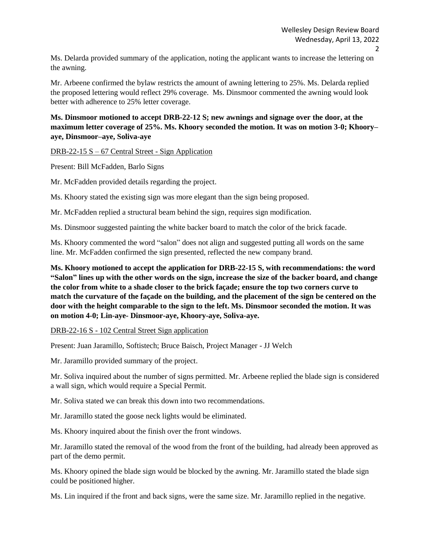Ms. Delarda provided summary of the application, noting the applicant wants to increase the lettering on the awning.

Mr. Arbeene confirmed the bylaw restricts the amount of awning lettering to 25%. Ms. Delarda replied the proposed lettering would reflect 29% coverage. Ms. Dinsmoor commented the awning would look better with adherence to 25% letter coverage.

# **Ms. Dinsmoor motioned to accept DRB-22-12 S; new awnings and signage over the door, at the maximum letter coverage of 25%. Ms. Khoory seconded the motion. It was on motion 3-0; Khoory– aye, Dinsmoor–aye, Soliva-aye**

DRB-22-15 S – 67 Central Street - Sign Application

Present: Bill McFadden, Barlo Signs

Mr. McFadden provided details regarding the project.

Ms. Khoory stated the existing sign was more elegant than the sign being proposed.

Mr. McFadden replied a structural beam behind the sign, requires sign modification.

Ms. Dinsmoor suggested painting the white backer board to match the color of the brick facade.

Ms. Khoory commented the word "salon" does not align and suggested putting all words on the same line. Mr. McFadden confirmed the sign presented, reflected the new company brand.

**Ms. Khoory motioned to accept the application for DRB-22-15 S, with recommendations: the word "Salon" lines up with the other words on the sign, increase the size of the backer board, and change the color from white to a shade closer to the brick façade; ensure the top two corners curve to match the curvature of the façade on the building, and the placement of the sign be centered on the door with the height comparable to the sign to the left. Ms. Dinsmoor seconded the motion. It was on motion 4-0; Lin-aye- Dinsmoor-aye, Khoory-aye, Soliva-aye.**

#### DRB-22-16 S - 102 Central Street Sign application

Present: Juan Jaramillo, Softistech; Bruce Baisch, Project Manager - JJ Welch

Mr. Jaramillo provided summary of the project.

Mr. Soliva inquired about the number of signs permitted. Mr. Arbeene replied the blade sign is considered a wall sign, which would require a Special Permit.

Mr. Soliva stated we can break this down into two recommendations.

Mr. Jaramillo stated the goose neck lights would be eliminated.

Ms. Khoory inquired about the finish over the front windows.

Mr. Jaramillo stated the removal of the wood from the front of the building, had already been approved as part of the demo permit.

Ms. Khoory opined the blade sign would be blocked by the awning. Mr. Jaramillo stated the blade sign could be positioned higher.

Ms. Lin inquired if the front and back signs, were the same size. Mr. Jaramillo replied in the negative.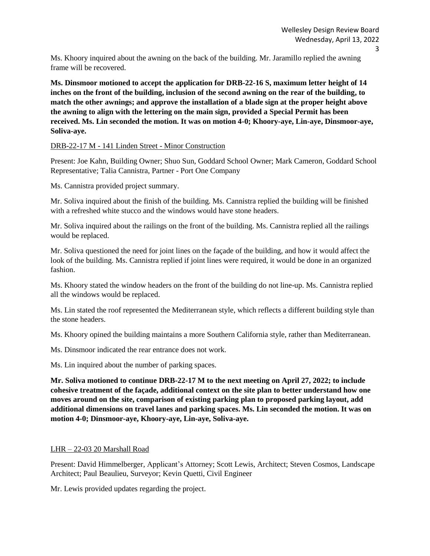Ms. Khoory inquired about the awning on the back of the building. Mr. Jaramillo replied the awning frame will be recovered.

**Ms. Dinsmoor motioned to accept the application for DRB-22-16 S, maximum letter height of 14 inches on the front of the building, inclusion of the second awning on the rear of the building, to match the other awnings; and approve the installation of a blade sign at the proper height above the awning to align with the lettering on the main sign, provided a Special Permit has been received. Ms. Lin seconded the motion. It was on motion 4-0; Khoory-aye, Lin-aye, Dinsmoor-aye, Soliva-aye.**

DRB-22-17 M - 141 Linden Street - Minor Construction

Present: Joe Kahn, Building Owner; Shuo Sun, Goddard School Owner; Mark Cameron, Goddard School Representative; Talia Cannistra, Partner - Port One Company

Ms. Cannistra provided project summary.

Mr. Soliva inquired about the finish of the building. Ms. Cannistra replied the building will be finished with a refreshed white stucco and the windows would have stone headers.

Mr. Soliva inquired about the railings on the front of the building. Ms. Cannistra replied all the railings would be replaced.

Mr. Soliva questioned the need for joint lines on the façade of the building, and how it would affect the look of the building. Ms. Cannistra replied if joint lines were required, it would be done in an organized fashion.

Ms. Khoory stated the window headers on the front of the building do not line-up. Ms. Cannistra replied all the windows would be replaced.

Ms. Lin stated the roof represented the Mediterranean style, which reflects a different building style than the stone headers.

Ms. Khoory opined the building maintains a more Southern California style, rather than Mediterranean.

Ms. Dinsmoor indicated the rear entrance does not work.

Ms. Lin inquired about the number of parking spaces.

**Mr. Soliva motioned to continue DRB-22-17 M to the next meeting on April 27, 2022; to include cohesive treatment of the façade, additional context on the site plan to better understand how one moves around on the site, comparison of existing parking plan to proposed parking layout, add additional dimensions on travel lanes and parking spaces. Ms. Lin seconded the motion. It was on motion 4-0; Dinsmoor-aye, Khoory-aye, Lin-aye, Soliva-aye.** 

#### LHR – 22-03 20 Marshall Road

Present: David Himmelberger, Applicant's Attorney; Scott Lewis, Architect; Steven Cosmos, Landscape Architect; Paul Beaulieu, Surveyor; Kevin Quetti, Civil Engineer

Mr. Lewis provided updates regarding the project.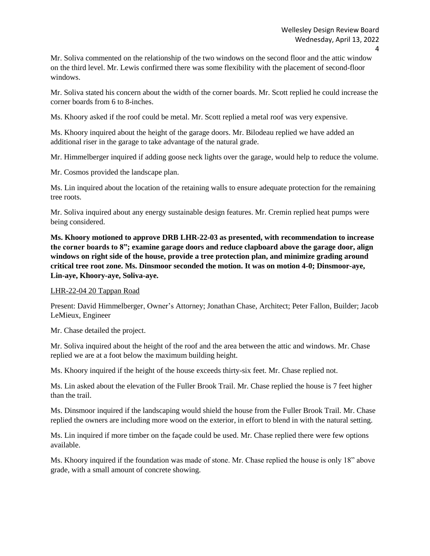Mr. Soliva commented on the relationship of the two windows on the second floor and the attic window on the third level. Mr. Lewis confirmed there was some flexibility with the placement of second-floor windows.

Mr. Soliva stated his concern about the width of the corner boards. Mr. Scott replied he could increase the corner boards from 6 to 8-inches.

Ms. Khoory asked if the roof could be metal. Mr. Scott replied a metal roof was very expensive.

Ms. Khoory inquired about the height of the garage doors. Mr. Bilodeau replied we have added an additional riser in the garage to take advantage of the natural grade.

Mr. Himmelberger inquired if adding goose neck lights over the garage, would help to reduce the volume.

Mr. Cosmos provided the landscape plan.

Ms. Lin inquired about the location of the retaining walls to ensure adequate protection for the remaining tree roots.

Mr. Soliva inquired about any energy sustainable design features. Mr. Cremin replied heat pumps were being considered.

**Ms. Khoory motioned to approve DRB LHR-22-03 as presented, with recommendation to increase the corner boards to 8"; examine garage doors and reduce clapboard above the garage door, align windows on right side of the house, provide a tree protection plan, and minimize grading around critical tree root zone. Ms. Dinsmoor seconded the motion. It was on motion 4-0; Dinsmoor-aye, Lin-aye, Khoory-aye, Soliva-aye.** 

LHR-22-04 20 Tappan Road

Present: David Himmelberger, Owner's Attorney; Jonathan Chase, Architect; Peter Fallon, Builder; Jacob LeMieux, Engineer

Mr. Chase detailed the project.

Mr. Soliva inquired about the height of the roof and the area between the attic and windows. Mr. Chase replied we are at a foot below the maximum building height.

Ms. Khoory inquired if the height of the house exceeds thirty-six feet. Mr. Chase replied not.

Ms. Lin asked about the elevation of the Fuller Brook Trail. Mr. Chase replied the house is 7 feet higher than the trail.

Ms. Dinsmoor inquired if the landscaping would shield the house from the Fuller Brook Trail. Mr. Chase replied the owners are including more wood on the exterior, in effort to blend in with the natural setting.

Ms. Lin inquired if more timber on the façade could be used. Mr. Chase replied there were few options available.

Ms. Khoory inquired if the foundation was made of stone. Mr. Chase replied the house is only 18" above grade, with a small amount of concrete showing.